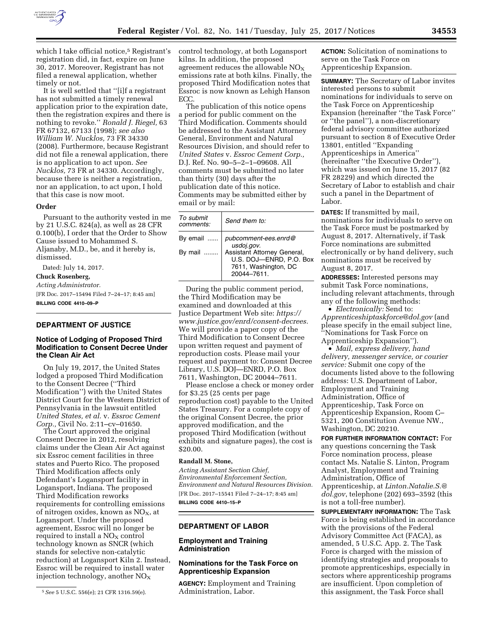

which I take official notice,<sup>5</sup> Registrant's registration did, in fact, expire on June 30, 2017. Moreover, Registrant has not filed a renewal application, whether timely or not.

It is well settled that ''[i]f a registrant has not submitted a timely renewal application prior to the expiration date, then the registration expires and there is nothing to revoke.'' *Ronald J. Riegel,* 63 FR 67132, 67133 (1998); *see also William W. Nucklos,* 73 FR 34330 (2008). Furthermore, because Registrant did not file a renewal application, there is no application to act upon. *See Nucklos,* 73 FR at 34330. Accordingly, because there is neither a registration, nor an application, to act upon, I hold that this case is now moot.

#### **Order**

Pursuant to the authority vested in me by 21 U.S.C. 824(a), as well as 28 CFR 0.100(b), I order that the Order to Show Cause issued to Mohammed S. Aljanaby, M.D., be, and it hereby is, dismissed.

Dated: July 14, 2017.

# **Chuck Rosenberg,**

*Acting Administrator.*  [FR Doc. 2017–15494 Filed 7–24–17; 8:45 am] **BILLING CODE 4410–09–P** 

#### **DEPARTMENT OF JUSTICE**

#### **Notice of Lodging of Proposed Third Modification to Consent Decree Under the Clean Air Act**

On July 19, 2017, the United States lodged a proposed Third Modification to the Consent Decree (''Third Modification'') with the United States District Court for the Western District of Pennsylvania in the lawsuit entitled *United States, et al.* v. *Essroc Cement Corp.,* Civil No. 2:11–cv–01650.

The Court approved the original Consent Decree in 2012, resolving claims under the Clean Air Act against six Essroc cement facilities in three states and Puerto Rico. The proposed Third Modification affects only Defendant's Logansport facility in Logansport, Indiana. The proposed Third Modification reworks requirements for controlling emissions of nitrogen oxides, known as  $NO<sub>X</sub>$ , at Logansport. Under the proposed agreement, Essroc will no longer be required to install a  $NO<sub>X</sub>$  control technology known as SNCR (which stands for selective non-catalytic reduction) at Logansport Kiln 2. Instead, Essroc will be required to install water injection technology, another  $NO<sub>x</sub>$ 

control technology, at both Logansport kilns. In addition, the proposed agreement reduces the allowable  $NO<sub>X</sub>$ emissions rate at both kilns. Finally, the proposed Third Modification notes that Essroc is now known as Lehigh Hanson ECC.

The publication of this notice opens a period for public comment on the Third Modification. Comments should be addressed to the Assistant Attorney General, Environment and Natural Resources Division, and should refer to *United States* v. *Essroc Cement Corp.,*  D.J. Ref. No. 90–5–2–1–09608. All comments must be submitted no later than thirty (30) days after the publication date of this notice. Comments may be submitted either by email or by mail:

| To submit<br>comments: | Send them to:                                                                                |
|------------------------|----------------------------------------------------------------------------------------------|
| By email $\ldots$ .    | pubcomment-ees.enrd@<br>usdoj.gov.                                                           |
| By mail                | Assistant Attorney General,<br>U.S. DOJ-ENRD, P.O. Box<br>7611, Washington, DC<br>20044-7611 |

During the public comment period, the Third Modification may be examined and downloaded at this Justice Department Web site: *[https://](https://www.justice.gov/enrd/consent-decrees) [www.justice.gov/enrd/consent-decrees.](https://www.justice.gov/enrd/consent-decrees)*  We will provide a paper copy of the Third Modification to Consent Decree upon written request and payment of reproduction costs. Please mail your request and payment to: Consent Decree Library, U.S. DOJ—ENRD, P.O. Box 7611, Washington, DC 20044–7611.

Please enclose a check or money order for \$3.25 (25 cents per page reproduction cost) payable to the United States Treasury. For a complete copy of the original Consent Decree, the prior approved modification, and the proposed Third Modification (without exhibits and signature pages), the cost is \$20.00.

## **Randall M. Stone,**

*Acting Assistant Section Chief, Environmental Enforcement Section, Environment and Natural Resources Division.*  [FR Doc. 2017–15541 Filed 7–24–17; 8:45 am] **BILLING CODE 4410–15–P** 

### **DEPARTMENT OF LABOR**

#### **Employment and Training Administration**

## **Nominations for the Task Force on Apprenticeship Expansion**

**AGENCY:** Employment and Training Administration, Labor.

**ACTION:** Solicitation of nominations to serve on the Task Force on Apprenticeship Expansion.

**SUMMARY:** The Secretary of Labor invites interested persons to submit nominations for individuals to serve on the Task Force on Apprenticeship Expansion (hereinafter ''the Task Force'' or ''the panel''), a non-discretionary federal advisory committee authorized pursuant to section 8 of Executive Order 13801, entitled ''Expanding Apprenticeships in America'' (hereinafter ''the Executive Order''), which was issued on June 15, 2017 (82 FR 28229) and which directed the Secretary of Labor to establish and chair such a panel in the Department of Labor.

**DATES:** If transmitted by mail, nominations for individuals to serve on the Task Force must be postmarked by August 8, 2017. Alternatively, if Task Force nominations are submitted electronically or by hand delivery, such nominations must be received by August 8, 2017.

**ADDRESSES:** Interested persons may submit Task Force nominations, including relevant attachments, through any of the following methods:

• *Electronically:* Send to: *[Apprenticeshiptaskforce@dol.gov](mailto:Apprenticeshiptaskforce@dol.gov)* (and please specify in the email subject line, ''Nominations for Task Force on Apprenticeship Expansion'').

• *Mail, express delivery, hand delivery, messenger service, or courier service:* Submit one copy of the documents listed above to the following address: U.S. Department of Labor, Employment and Training Administration, Office of Apprenticeship, Task Force on Apprenticeship Expansion, Room C– 5321, 200 Constitution Avenue NW., Washington, DC 20210.

**FOR FURTHER INFORMATION CONTACT:** For any questions concerning the Task Force nomination process, please contact Ms. Natalie S. Linton, Program Analyst, Employment and Training Administration, Office of Apprenticeship, at *[Linton.Natalie.S.@](mailto:Linton.Natalie.S.@dol.gov) [dol.gov](mailto:Linton.Natalie.S.@dol.gov)*, telephone (202) 693–3592 (this is not a toll-free number).

**SUPPLEMENTARY INFORMATION:** The Task Force is being established in accordance with the provisions of the Federal Advisory Committee Act (FACA), as amended, 5 U.S.C. App. 2. The Task Force is charged with the mission of identifying strategies and proposals to promote apprenticeships, especially in sectors where apprenticeship programs are insufficient. Upon completion of this assignment, the Task Force shall

<sup>5</sup>*See* 5 U.S.C. 556(e); 21 CFR 1316.59(e).